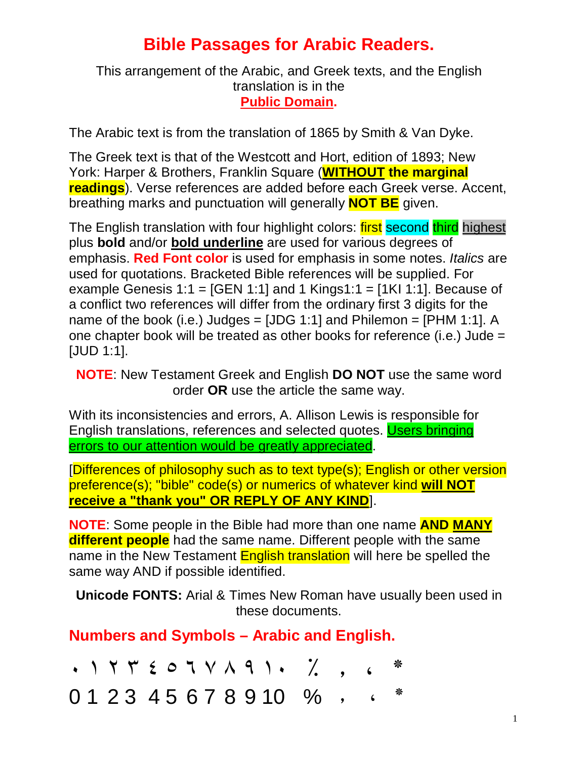## **Bible Passages for Arabic Readers.**

This arrangement of the Arabic, and Greek texts, and the English translation is in the **Public Domain.**

The Arabic text is from the translation of 1865 by Smith & Van Dyke.

The Greek text is that of the Westcott and Hort, edition of 1893; New York: Harper & Brothers, Franklin Square (**WITHOUT the marginal readings**). Verse references are added before each Greek verse. Accent, breathing marks and punctuation will generally **NOT BE** given.

The English translation with four highlight colors: **first second third** highest plus **bold** and/or **bold underline** are used for various degrees of emphasis. **Red Font color** is used for emphasis in some notes. *Italics* are used for quotations. Bracketed Bible references will be supplied. For example Genesis 1:1 =  $[GEN 1:1]$  and 1 Kings1:1 =  $[1K1 1:1]$ . Because of a conflict two references will differ from the ordinary first 3 digits for the name of the book (i.e.) Judges =  $[JDG 1:1]$  and Philemon =  $[PHM 1:1]$ . A one chapter book will be treated as other books for reference (i.e.) Jude = [JUD 1:1].

**NOTE**: New Testament Greek and English **DO NOT** use the same word order **OR** use the article the same way.

With its inconsistencies and errors, A. Allison Lewis is responsible for English translations, references and selected quotes. Users bringing errors to our attention would be greatly appreciated.

[Differences of philosophy such as to text type(s); English or other version preference(s); "bible" code(s) or numerics of whatever kind **will NOT receive a "thank you" OR REPLY OF ANY KIND**].

**NOTE**: Some people in the Bible had more than one name **AND MANY different people** had the same name. Different people with the same name in the New Testament **English translation** will here be spelled the same way AND if possible identified.

**Unicode FONTS:** Arial & Times New Roman have usually been used in these documents.

**Numbers and Symbols – Arabic and English.**

٭ ، ٫ ٪ ١٠ ٩ ٨ ٧ ٦ ٥ ٤ ٣ ٢ ١ ٠  $012345678910%$ , . \*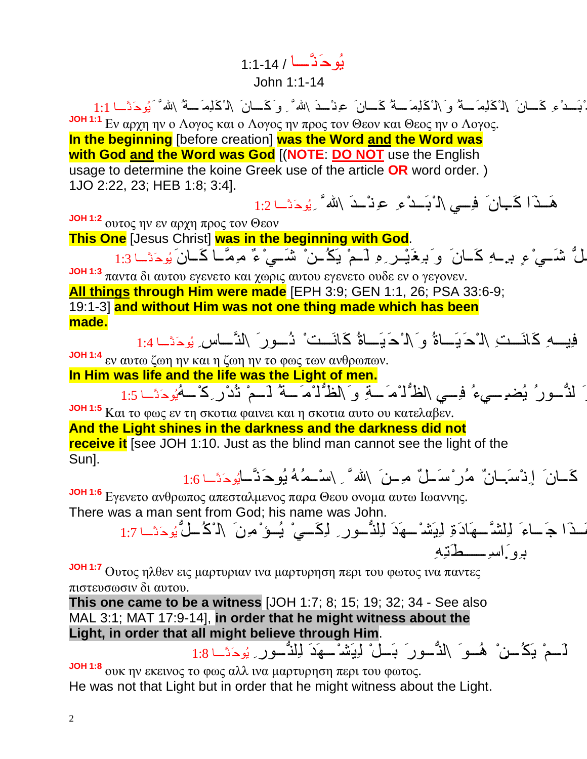یُوحَنَّ ا / 1:1-14 John 1:1-14

ْبَ دْءِ كَ انَ \ل ْكَلِمَ سَهُ وَ \ل ْكَلِمَ سَهُ كَ سانَ عِنْ حدَ \الله ً وَكَ انَ \ل ْكَلِمَ سَهُ \الله ً َ يُوحَنَّ ا 1:1 **JOH 1:1** Εν αρχη ην ο Λογος και ο Λογος ην προς τον Θεον και Θεος ην ο Λογος. **In the beginning** [before creation] **was the Word and the Word was with God and the Word was God** [(**NOTE**: **DO NOT** use the English usage to determine the koine Greek use of the article **OR** word order. ) 1JO 2:22, 23; HEB 1:8; 3:4].

هَـذَا كَـبانَ فِــى \ل ْبَـدْ ءِ عِنْـدَ \لله ۗ ِیُوحَنَّـا 1:2

**JOH 1:2** ουτος ην εν αρχη προς τον Θεον

**This One** [Jesus Christ] **was in the beginning with God**.

لُّ شَـيْ ءِ برِــهِ كَــانَ ۚ وَ بِرِغَيْـر ِهِ لَــمْ يَكُــنْ ۚ شَــيْ ءٌ مَرِمَّــا كَــانَ يُوحَثَــا 1:3

**JOH 1:3** παντα δι αυτου εγενετο και χωρις αυτου εγενετο ουδε εν ο γεγονεν. **All things through Him were made** [EPH 3:9; GEN 1:1, 26; PSA 33:6-9; 19:1-3] **and without Him was not one thing made which has been made.**

فِیِ کِانَ تِ كَانَ الْحَیَ اهُ وَ الْحَیَاةُ كَانَتِ ْ نُورِ َ النَّ اسِ یُوحَنَّا 1:4

**JOH 1:4** εν αυτω ζωη ην και η ζωη ην το φως των ανθρωπων.

**In Him was life and the life was the Light of men.**

و َ لنُّ ورُ یُضِ. يء ُ فِ ي \لظُّل ْمَ ة ِ و َ\لظُّل ْمَ ة ُ ل َ مْ تُدْرِ كْ ھُیُوحَنَّ ا 1:5

**JOH 1:5** Και το φως εν τη σκοτια φαινει και η σκοτια αυτο ου κατελαβεν.

## **And the Light shines in the darkness and the darkness did not**

**receive it** [see JOH 1:10. Just as the blind man cannot see the light of the Sun].

كَ انَ إِنْس.َ انٌ م ُرْسَ لٌ م ِ نَ \ َّ ِ \سْ م ُھُ یُوحَنَّ ایُوحَنَّ <sup>ا</sup> 1:6

**JOH 1:6** Εγενετο ανθρωπος απεσταλμενος παρα Θεου ονομα αυτω Ιωαννης. There was a man sent from God; his name was John.

ھَ ذَا جَ اءَ ل ِلشَّ ھَادَةِ ل ِیَشْ ھَدَ ل ِلنُّ ورِ ل ِكَ يْ یُ ؤْ مِنَ \ل ْكُ ل ُّ یُوحَنَّ <sup>ا</sup> 1:7 بِو.َاسِ طَتِھِ

**JOH 1:7** Ουτος ηλθεν εις μαρτυριαν ινα μαρτυρηση περι του φωτος ινα παντες πιστευσωσιν δι αυτου.

**This one came to be a witness** [JOH 1:7; 8; 15; 19; 32; 34 - See also MAL 3:1; MAT 17:9-14], **in order that he might witness about the Light, in order that all might believe through Him**. لَ مْ یَكُ مِنْ ۖ هُــو َ \لنُّ ور َ بَ لْ لِیَشْ هِدَ لِلنُّ ور ِ یُوحَنَّ ا 1:8

**JOH 1:8** ουκ ην εκεινος το φως αλλ ινα μαρτυρηση περι του φωτος. He was not that Light but in order that he might witness about the Light.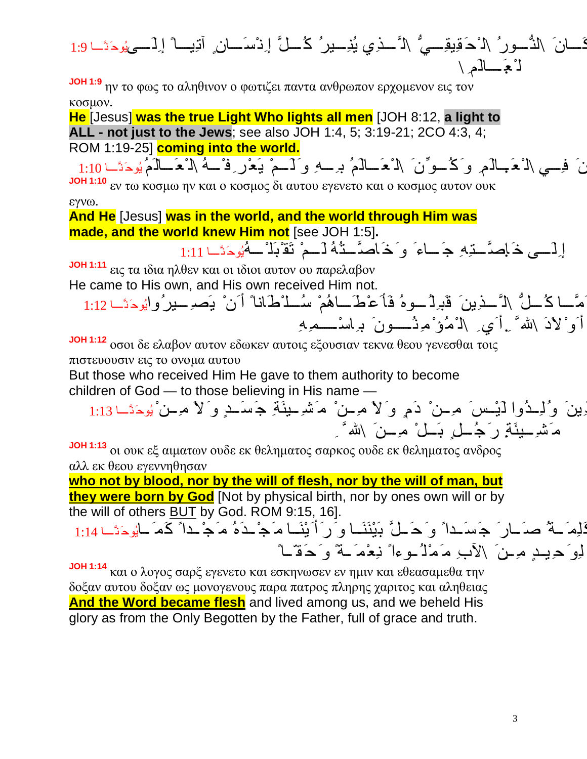ُّ \ل َّ ذِي یُنِ یرُ ك ُ لَّ إِنْسَ انٍ آتِی اً إِلَ ىیُوحَنَّ ا 1:9 كَ انَ \لنُّ ورُ \ل ْحَقِیقِ ي ل ْعَ. الَمِ \

**JOH 1:9** ην το φως το αληθινον ο φωτιζει παντα ανθρωπον ερχομενον εις τον κοσμον.

**He** [Jesus] **was the true Light Who lights all men** [JOH 8:12, **a light to ALL - not just to the Jews**; see also JOH 1:4, 5; 3:19-21; 2CO 4:3, 4; ROM 1:19-25] **coming into the world.**

نَ ۖ فِسِي \ل ْعَ بِالَمِ ۖ وَ كُ حوِّنَ ۖ \ل ْعَ الْمُ بِرِحِهِ وَ لَــمْ يَعْرِ فِ ْــهُ \ل ْعَــالَمُ يُوحَنَــا 1:10 **JOH 1:10** εν τω κοσμω ην και ο κοσμος δι αυτου εγενετο και ο κοσμος αυτον ουκ εγνω.

**And He** [Jesus] **was in the world, and the world through Him was made, and the world knew Him not** [see JOH 1:5]**.**

إِلَـــي خَـامِسَّـــتِهِ جَـــاءَ ۖ وَ خَـاصرَّـــتُهُ لَـــمْ تَقْبُلُّـــهُيُوحَتَــا 1:11

**JOH 1:11** εις τα ιδια ηλθεν και οι ιδιοι αυτον ου παρελαβον He came to His own, and His own received Him not.

َمَّــا كُــلُّ \لَّ ــذِینَ قَبِرلُ ــوهُ فَأَعْطَــاهُمْ سُــلْاطَاناً أَنْ یَصبِــیرُوایُوحَنَّــا 1:12 أَوْلاَدَ \لله ً .ِ أَي ِ \ل ْمُؤْ مِنُ وِنَ بِهِ اسْـــمِهِ

**JOH 1:12** οσοι δε ελαβον αυτον εδωκεν αυτοις εξουσιαν τεκνα θεου γενεσθαι τοις πιστευουσιν εις το ονομα αυτου

But those who received Him He gave to them authority to become children of  $God - to those believing in His name$ 

ِينَ وُلِ دُوا لَيْسَ مِ ـنْ دَمٍ و َلاَ مِ ـنْ مَشْـِ يئَةِ جَسَـدٍ و َلاَ مِ ـنْ يُوحَنَّـا 1:13 مَ تَشْرِ بِيئَةٍ رَ جُ لِّ رِ بَلْ مِ بِنَ  $\langle$  الله ً ِ

**JOH 1:13** οι ουκ εξ αιματων ουδε εκ θεληματος σαρκος ουδε εκ θεληματος ανδρος αλλ εκ θεου εγεννηθησαν

**who not by blood, nor by the will of flesh, nor by the will of man, but they were born by God** [Not by physical birth, nor by ones own will or by the will of others <u>BUT</u> by God. ROM 9:15, 16].

لَامَ لَّهُ صَدَّـارَ ۖ جَسَـداً ۚ وَ حَمَـلٌّ بَيْنَنَـا وَ رَأَيْنَـا مَجْـدَهُ مَجْـداً كَمَـايُوحَتَــا 1:14 لِو َحِیدِ مِینَ \لآبِ مَمْلُ وءاً نبِعْمَ بهً و َحَقّاً

**JOH 1:14** και ο λογος σαρξ εγενετο και εσκηνωσεν εν ημιν και εθεασαμεθα την δοξαν αυτου δοξαν ως μονογενους παρα πατρος πληρης χαριτος και αληθειας **And the Word became flesh** and lived among us, and we beheld His glory as from the Only Begotten by the Father, full of grace and truth.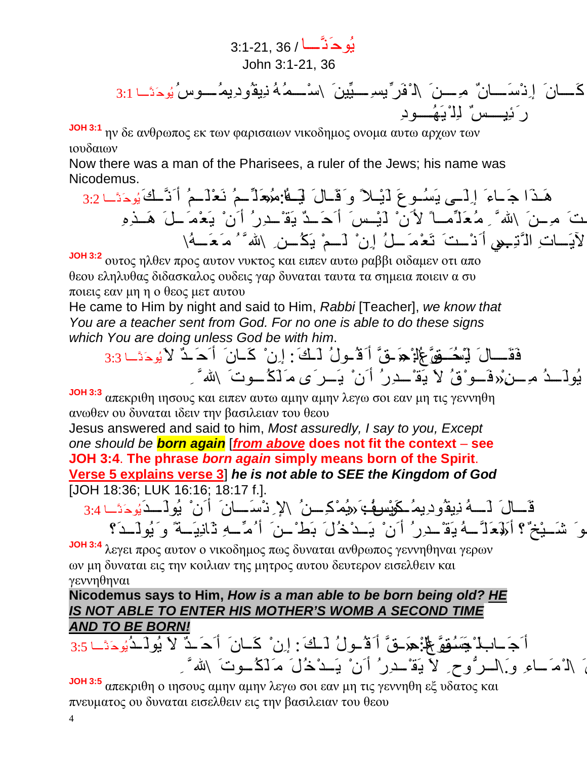یُوحَنَّ ا / 36 3:1-21, John 3:1-21, 36 ینَ \سْ م ُھُ ن ِیقُودِیمُ وسُ یُوحَنَّ ا 3:1 ِّ یسِ ی ِّ كَ انَ إِنْسَ انٌ م ِ نَ \ل ْفَر رَئ.ِی سٌ ل ِلْیَھُ ودِ

**JOH 3:1** ην δε ανθρωπος εκ των φαρισαιων νικοδημος ονομα αυτω αρχων των ιουδαιων

Now there was a man of the Pharisees, a ruler of the Jews; his name was Nicodemus.

ھَ ذَا جَ اءَ إِلَ ى ی َسُ وعَ ل َیْ لاً و َقَ الَ ل َی َ ھُا: م ُ« عَ لِّ مُ نَعْ لَ مُ أَنَّ كَیُوحَنَّ <sup>ا</sup> 3:2 م اً لأَنْ ل َیْ سَ أَحَ دٌ ی َقْ د ِرُ أَنْ ی َعْ مَ لَ ھَ ذِهِ قَ د ْ أَتَیْ تَ م ِ نَ \ َّ ِ م ُعَ لِّ لآی َ اتِ ال َّتِ .«ي أَنْ تَ تَعْ مَ لُ إِنْ ل َ مْ ی َكُ نِ \ َّ ُ م َعَ ھُ\

**JOH 3:2** ουτος ηλθεν προς αυτον νυκτος και ειπεν αυτω ραββι οιδαμεν οτι απο θεου εληλυθας διδασκαλος ουδεις γαρ δυναται ταυτα τα σημεια ποιειν α συ ποιεις εαν μη η ο θεος μετ αυτου

He came to Him by night and said to Him, *Rabbi* [Teacher], *we know that You are a teacher sent from God. For no one is able to do these signs which You are doing unless God be with him*.

ع \ُل :ْ ح« َ قَّ أَقُ ولُ ل َ ك:َ إِنْ كَ انَ أَحَ دٌ لاَیُوحَنَّ <sup>ا</sup> 3:3 َّ فَقَ الَ ی َل ْسُح َ قو یُولَ دُ م ِ ن.ْ«فَ و ْقُ لاَ ی َقْ د ِرُ أَنْ ی َ رَى م َ لَكُ وتَ \ َّ ِ

**JOH 3:3** απεκριθη ιησους και ειπεν αυτω αμην αμην λεγω σοι εαν μη τις γεννηθη ανωθεν ου δυναται ιδειν την βασιλειαν του θεου

Jesus answered and said to him, *Most assuredly, I say to you, Except one should be born again* [*from above* **does not fit the context** – **see JOH 3:4**. **The phrase** *born again* **simply means born of the Spirit**. **Verse 5 explains verse 3**] *he is not able to SEE the Kingdom of God* [JOH 18:36; LUK 16:16; 18:17 f.].

قَالَ لَــهُ نِیقُودِیمُ كَوْسُوفُ: «یُمْكِرَ مِنُ \لإِ نْسَـانَ أَنْ یُولَــدَیُوحَنَّـا 3:4 شَــثِخٌ؟ أَلَهُمَلَّــهُ يَةْ لِدِرُ أَنْ يَــدْخُلَ بَطْ ٰـنَ أُ مِّــهِ ثَانِيَــةً وَيُولَــدَ؟

**JOH 3:4** λεγει προς αυτον ο νικοδημος πως δυναται ανθρωπος γεννηθηναι γερων ων μη δυναται εις την κοιλιαν της μητρος αυτου δευτερον εισελθειν και γεννηθηναι

**Nicodemus says to Him,** *How is a man able to be born being old? HE IS NOT ABLE TO ENTER HIS MOTHER'S WOMB A SECOND TIME AND TO BE BORN!*

أَجَ ابِلاْ يَجَسُوْقَ لِلْأَ: هِرَ فُّ أَ قُسُولُ لَسْكَ : إِنْ ۚ كَانَ ۚ أَحَسَتْ لاَ يُولَـدُيُوحَتَــا 3:5 َ \لَامَ ـاءِ وَ السرُّوحِ لاَ يَقْ دِرُ أَنْ يَـدْخُلَ مَـٰلَكُ ـوتَ \لله ً ِ

**JOH 3:5** απεκριθη ο ιησους αμην αμην λεγω σοι εαν μη τις γεννηθη εξ υδατος και πνευματος ου δυναται εισελθειν εις την βασιλειαν του θεου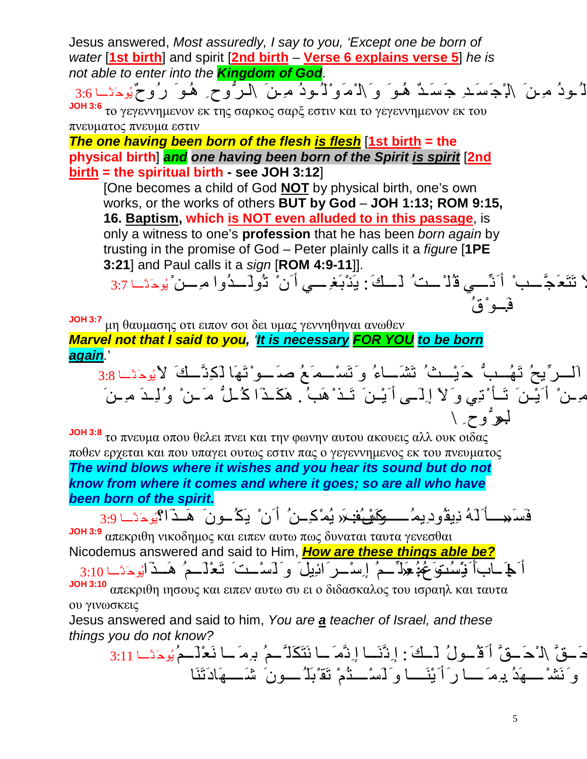Jesus answered, *Most assuredly, I say to you, 'Except one be born of water* [**1st birth**] and spirit [**2nd birth** – **Verse 6 explains verse 5**] *he is not able to enter into the Kingdom of God*.

اُلُ ودُ مَ ِ نَ َ \لَٰ جَسَ د ِ جَسَ دٌ هُوَ ۖ وَ َ\ل ْمَوْ لُ ودُ مَ مِ نَ َ \ل رُّ وحِ هُوَ  $رُ وحٌیُوحَنَ  
لَ ودُ مَ نَ كَ إِجْ سَ دِ جَسَ دٌ هُوَ ۖ وَ َ\ل ْمَوَ لُ ودُ مَ مِنَ كَ الرُّ وحِ ۖ هُوَ كُ رُوحٌ يُوحَنَّــا$ 

**JOH 3:6** το γεγεννημενον εκ της σαρκος σαρξ εστιν και το γεγεννημενον εκ του πνευματος πνευμα εστιν

*The one having been born of the flesh is flesh* [**1st birth = the physical birth**] *and one having been born of the Spirit is spirit* [**2nd birth = the spiritual birth - see JOH 3:12**]

[One becomes a child of God **NOT** by physical birth, one's own works, or the works of others **BUT by God** – **JOH 1:13; ROM 9:15, 16. Baptism, which is NOT even alluded to in this passage**, is only a witness to one's **profession** that he has been *born again* by trusting in the promise of God – Peter plainly calls it a *figure* [**1PE 3:21**] and Paul calls it a *sign* [**ROM 4:9-11**]].

اَ تَتَعَجُّـب ْ أَنِّــي قُلْ ـثُ لَــكَ : يَذْبَغِ ــي أَن ْ تُولَــدُوا مِــن ْيُوحَدًـا 3:7 ف.َ و ْقُ

**JOH 3:7** μη θαυμασης οτι ειπον σοι δει υμας γεννηθηναι ανωθεν *Marvel not that I said to you, 'It is necessary FOR YOU to be born again.*'

اَلْــرٍّيحُ تَهُــبٌّ حَيْــثُ تَشَــاءُ وَتَسْــمَعُ صَــوْتَهَا لَكِنَّــكَ لأَيُوحَنَّــا 3:8 ِّ مِ مِنْ أَیْمَنَ تَأْ نَتِي و َلاَ إِلَــى أَیْـنَ تَـذْ هَبُ . هَكَـذَا كُلُّ مَـنْ وُلِـدَ مِـنَ لبهوٌوح ِ \

**JOH 3:8** το πνευμα οπου θελει πνει και την φωνην αυτου ακουεις αλλ ουκ οιδας ποθεν ερχεται και που υπαγει ουτως εστιν πας ο γεγεννημενος εκ του πνευματος *The wind blows where it wishes and you hear its sound but do not know from where it comes and where it goes; so are all who have been born of the spirit***.**

فَسَمِ أَلَمُ نِیقُودِیمُ ـــوكَیْ فَنِمَر یُمْكِــنُ أَنْ یَكُــونَ هَــذَا؟یُوحَتَــا 3:9 **JOH 3:9** απεκριθη νικοδημος και ειπεν αυτω πως δυναται ταυτα γενεσθαι Nicodemus answered and said to Him, *How are these things able be?* أَكِمَ ابَأَنْيَسُنُوَعَهُمُ: هَذَا ۖ ـمُ إِسْ رَائِيلَ وَ لَسْ تَ تَعْذَلَـمُ هَـذَالِودَتَـا 3:10

**JOH 3:10** απεκριθη ιησους και ειπεν αυτω συ ει ο διδασκαλος του ισραηλ και ταυτα ου γινωσκεις

Jesus answered and said to him, *You* a*re a teacher of Israel, and these things you do not know?*

دَحقَّ \لـْحَ حقَّ أَكْسُولُ لَسْكَ : إِنَّنَسَا إِنَّمَ ـا نَتَكَلَّ حمُ بِرِمَ ـا نَعْلَــمُ يُوحَنَّــا 3:11 و َنَشْ ھَد.ُبِمَ ا رَأَیْنَ ا و َ لَسْ تُمْ تَقْبَلُ ونَ شَ ھَادَتَنَا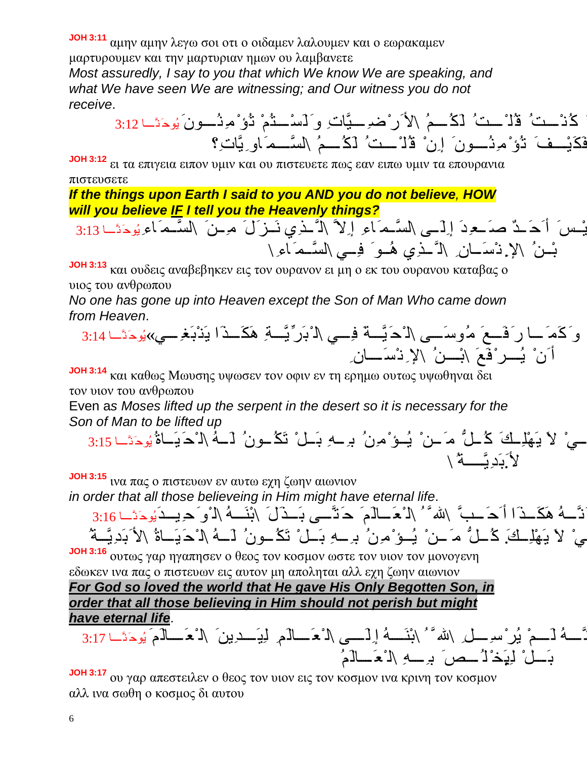**JOH 3:11** αμην αμην λεγω σοι οτι ο οιδαμεν λαλουμεν και ο εωρακαμεν

μαρτυρουμεν και την μαρτυριαν ημων ου λαμβανετε *Most assuredly, I say to you that which We know We are speaking, and what We have seen We are witnessing; and Our witness you do not receive*.

كُنْ تُ قُلْ تُ لَكُ مُ إِلاَرْضِهِ يَّاتِ وَ لَسْ تُمْ تُؤْمِنُ صِونَ يُوحَنَّا 3:12 فَكَیْفَ تُوْمِنُسُونَ إِنْ قُلْ ستُ لَكُسمُ \لسَّمَاوِیَّاتِ؟

**JOH 3:12** ει τα επιγεια ειπον υμιν και ου πιστευετε πως εαν ειπω υμιν τα επουρανια πιστευσετε

*If the things upon Earth I said to you AND you do not believe, HOW will you believe IF I tell you the Heavenly things?*

َّ م َاءِ یُوحَنَّ <sup>ا</sup> 3:13 َّ م َاءِ إِلاَّ \ل َّ ذِي نَ زَلَ م ِ نَ \لس و َ لَیْ سَ أَحَ دٌ صَ عِ دَ إِلَ ى \لس َّ م َاءِ\ بْ نُ \لإِ. نْسَ انِ \ل َّ ذِي ھُ و َ فِ ي \لس

**JOH 3:13** και ουδεις αναβεβηκεν εις τον ουρανον ει μη ο εκ του ουρανου καταβας ο υιος του ανθρωπου

*No one has gone up into Heaven except the Son of Man Who came down from Heaven*.

ِّیَّ ة ِ ھَكَ ذَا ی َنْبَغِ ي یُ» وحَنَّ <sup>ا</sup> 3:14 َّ ة َ فِ ي \ل ْبَر و َكَمَ ا رَفَ عَ م ُوسَ ى \ل ْحَی أَنْ یُ رْفَعَ \بْ نُ \لإِ نْسَ انِ

**JOH 3:14** και καθως Mωυσης υψωσεν τον οφιν εν τη ερημω ουτως υψωθηναι δει τον υιον του ανθρωπου

Even a*s Moses lifted up the serpent in the desert so it is necessary for the Son of Man to be lifted up*

ل ِكَ يْ لاَ ی َھْلِ كَ ك ُ ل ُّ م َ نْ یُ ؤْ مِنُ بِ ھِ بَ لْ تَكُ ونُ ل َ ھُ \ل ْحَیَ اةُ یُوحَنَّ <sup>ا</sup> 3:15 َّ ة ُ \ لأ.َبَدِی

**JOH 3:15** ινα πας ο πιστευων εν αυτω εχη ζωην αιωνιον

*in order that all those believeing in Him might have eternal life*.

َّ نَّ لَّهُ هَكَ لَمَ الْمَحَسُّ اللهُ مَّ الْأَحَــالَمَ ۖ حَنَّـــى بَــذَلَ َ ابْنَــهُ الْوَحِیــدَیُوحَنَّــا 3:16 يْ لاَ يَهْلِـكَ كُـلٌّ مَـنْ يُـوْمِنُ بِـهِ بَـلْ تَكُـونُ لَــهُ \لـْحَيَـاةُ \لأَبَدِيَّــةُ

**JOH 3:16** ουτως γαρ ηγαπησεν ο θεος τον κοσμον ωστε τον υιον τον μονογενη εδωκεν ινα πας ο πιστευων εις αυτον μη αποληται αλλ εχη ζωην αιωνιον *For God so loved the world that He gave His Only Begotten Son, in order that all those believing in Him should not perish but might have eternal life*.

لأَنَّ ھُ ل َ مْ یُرْسِ لِ \ َّ ُ \بْنَ ھُ إِلَ ى \ل ْعَ الَمِ ل ِیَ د ِینَ \ل ْعَ الَمَ یُوحَنَّ <sup>ا</sup> 3:17 بَ لْ ل ِیَ.خْ لُ صَ بِ ھِ \ل ْعَ الَمُ

**JOH 3:17** ου γαρ απεστειλεν ο θεος τον υιον εις τον κοσμον ινα κρινη τον κοσμον αλλ ινα σωθη ο κοσμος δι αυτου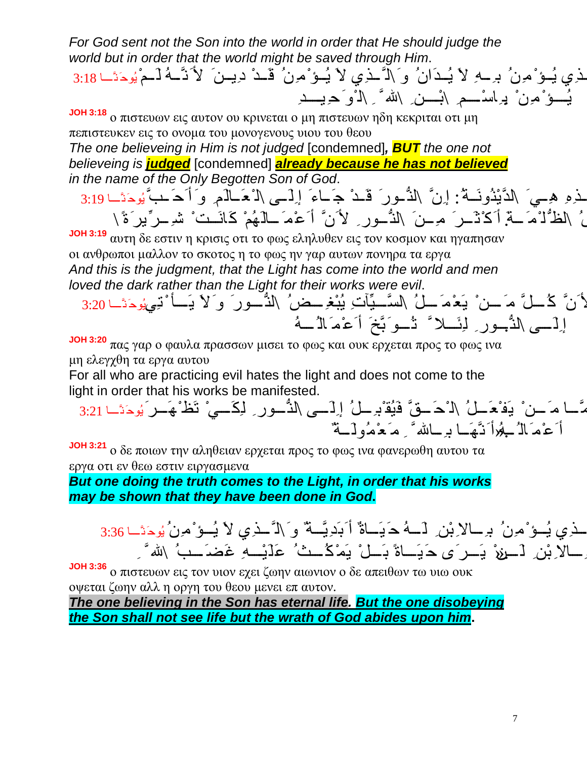*For God sent not the Son into the world in order that He should judge the world but in order that the world might be saved through Him*.

اَلَّ ذِي یُ ؤْ مِنُ بِ ھِ لاَ یُ دَان ُ و َ\ل َّ ذِي لاَ یُ ؤْ مِنُ قَ د ْ د ِی نَ لأَنَّ ھُ ل َ مْ یُوحَنَّ <sup>ا</sup> 3:18 یُسؤْ مُرِنْ ۖ بِرِاسْـــمِ \بْـــن ِ \لله ً َ ِ \ل ْوَحِیـــدِ

**JOH 3:18** ο πιστευων εις αυτον ου κρινεται ο μη πιστευων ηδη κεκριται οτι μη πεπιστευκεν εις το ονομα του μονογενους υιου του θεου

*The one believeing in Him is not judged* [condemned]*, BUT the one not believeing is judged* [condemned] *already because he has not believed in the name of the Only Begotten Son of God*.

لَّذِهِ هِـيَ \لَدَّيْثُونَــةُ: إِنَّ \لَذَّـور َ قَـدْ جَـاءَ إِلَــى \لاْعَــالَمِ وَ أَحَــبَّ يُوحَتَــا 3:19 ن<br>أ ُ \لَظُّلْ ْمَ قَمَ أَكَ ْنْسِرَ ۖ مِ سَ َ \لنُّ ور ِ لأَ نَّ أَعْمَ لَمَانَهُمْ كَانَــتْ ۚ شَرِ سَّ يَبْرَ ةَ \ ِّ

**JOH 3:19** αυτη δε εστιν η κρισις οτι το φως εληλυθεν εις τον κοσμον και ηγαπησαν οι ανθρωποι μαλλον το σκοτος η το φως ην γαρ αυτων πονηρα τα εργα *And this is the judgment, that the Light has come into the world and men loved the dark rather than the Light for their works were evil*.

ِّآتِ یُبْغِ ضُ \لنُّ ورَ و َلاَ ی َ أ ْ تِيیُوحَنَّ <sup>ا</sup> 3:20 َّ ی لأَنَّ ك ُ لَّ م َ نْ ی َعْ مَ لُ \لس َّخَ أَعْمَالُ ھُ إِلَ ى \لنُّ. ورِ ل ِئَ لا َّ تُ و َب

**JOH 3:20** πας γαρ ο φαυλα πρασσων μισει το φως και ουκ ερχεται προς το φως ινα μη ελεγχθη τα εργα αυτου

For all who are practicing evil hates the light and does not come to the light in order that his works be manifested.

و َ أَمَّ ا م َ نْ ی َفْعَ لُ \ل ْحَ قَّ فَیُقْبِ لُ إِلَ ى \لنُّ ورِ ل ِكَ يْ تَظْھَ رَ یُوحَنَّ <sup>ا</sup> 3:21 أَعْمَالُكُمِّلَا نَّـهَــا بِرِ ــالله ً مِ مَعْمُولَكَةٌ

**JOH 3:21** ο δε ποιων την αληθειαν ερχεται προς το φως ινα φανερωθη αυτου τα εργα οτι εν θεω εστιν ειργασμενα

*But one doing the truth comes to the Light, in order that his works may be shown that they have been done in God***.**

َ ذِي يُــوْ ْمِـنُ ۖ بِـــالاِبْنِ ِ لَـــهُ حَـيَــاةٌ أَبَدِيَّــةٌ وَ \كَ َــذِي لاَ يُــوْ ْمِـنُ يُوحَتَــا 3:36 ِ الاِبْنِ لَسِنِيْ يَسِ َى حَيَــاةً بَسْلُ يَمْكُسْتُ عَلَيْــهِ غَضَــبُ \لله ً ِ

**JOH 3:36** ο πιστευων εις τον υιον εχει ζωην αιωνιον ο δε απειθων τω υιω ουκ οψεται ζωην αλλ η οργη του θεου μενει επ αυτον.

*The one believing in the Son has eternal life. But the one disobeying the Son shall not see life but the wrath of God abides upon him***.**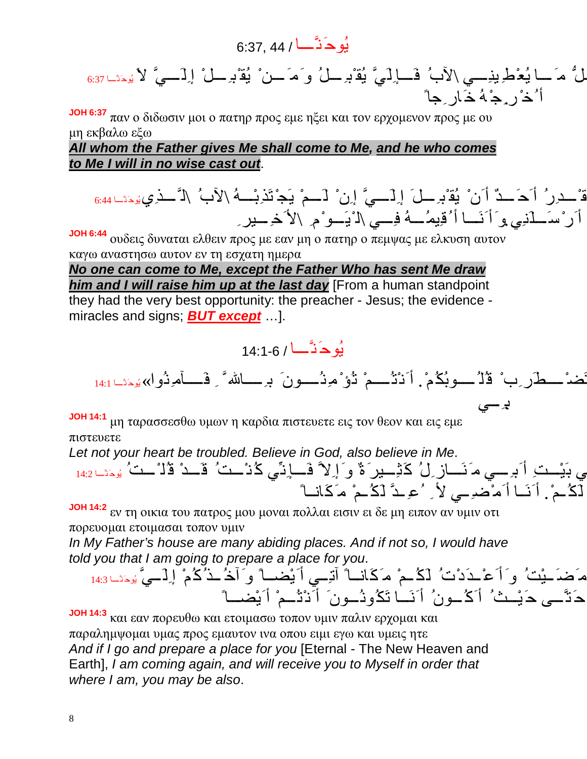## یُوحَنَّ ا / 44 6:37,

لَّ مَ ـا يُعْطِ ينِـِــي \لأبُ فَــاٍلَيَّ يُقْبِرِ ــلُ وَمَ ــنْ يُقْبِرِ ــلْ إِلَـــيَّ لأَ يُوحَثَــا763 أُخْ رِ.جْھُ خَ ارِجاً

**JOH 6:37** παν ο διδωσιν μοι ο πατηρ προς εμε ηξει και τον ερχομενον προς με ου μη εκβαλω εξω

## *All whom the Father gives Me shall come to Me, and he who comes to Me I will in no wise cast out*.

قْ حررُ أَحَــدٌ أَنْ يُقْبِرِ لَىَ إِلَـــيَّ إِنْ لَــمْ يَجْتَذِبْــهُ \لأَبُ \لَّــذِي يُوحَنَــا 6:44 أَرْ سَــذَنِي وَ أَنَـــا أُكْفِيمُـــهُ فِـــي \لـْ یَـــو ْمِ \لأَخِ ـــيرِ ِ

**JOH 6:44** ουδεις δυναται ελθειν προς με εαν μη ο πατηρ ο πεμψας με ελκυση αυτον καγω αναστησω αυτον εν τη εσχατη ημερα

*No one can come to Me, except the Father Who has sent Me draw him and I will raise him up at the last day* [From a human standpoint they had the very best opportunity: the preacher - Jesus; the evidence miracles and signs; *BUT except* …].



لاَ تَضْ طَرِبْ قُلُ وبُكُم.ْ أَنْتُ مْ تُؤْ مِنُ ونَ بِ ا َّ ِ فَ آم ِنُوا یُ» وحَنَّ <sup>ا</sup> 14:1 بِ. ي

**JOH 14:1** μη ταρασσεσθω υμων η καρδια πιστευετε εις τον θεον και εις εμε πιστευετε

*Let not your heart be troubled. Believe in God, also believe in Me*.

ي ك ُنْ تُ قَ د ْ قُلْ تُ یُوحَنَّ <sup>ا</sup> 14:2 فِ ي بَیْ تِ أَبِ ي م َنَ ازِلُ كَثِ یرَةٌ و َ إِلاَّ فَ إِنِّ ل َكُ م.ْ أَنَ ا أَمْضِ ي لأ ِ ُعِ دَّ ل َكُ مْ م َكَان اً

**JOH 14:2** εν τη οικια του πατρος μου μοναι πολλαι εισιν ει δε μη ειπον αν υμιν οτι πορευομαι ετοιμασαι τοπον υμιν

*In My Father's house are many abiding places. And if not so, I would have told you that I am going to prepare a place for you*.

یُوحَنَّ ا 14:3 َّ و َ إِنْ م َضَ یْتُ و َ أَعْ دَدْتُ ل َكُ مْ م َكَان اً آتِ ي أَیْض اً و َ آخُ ذُ كُمْ إِلَ ي ح َتَّ ى ح َیْ ثُ أَكُ ونُ أَنَ ا تَكُونُ ونَ أَنْتُ مْ أَیْض اً

**JOH 14:3** και εαν πορευθω και ετοιμασω τοπον υμιν παλιν ερχομαι και παραλημψομαι υμας προς εμαυτον ινα οπου ειμι εγω και υμεις ητε *And if I go and prepare a place for you* [Eternal - The New Heaven and Earth], *I am coming again, and will receive you to Myself in order that where I am, you may be also*.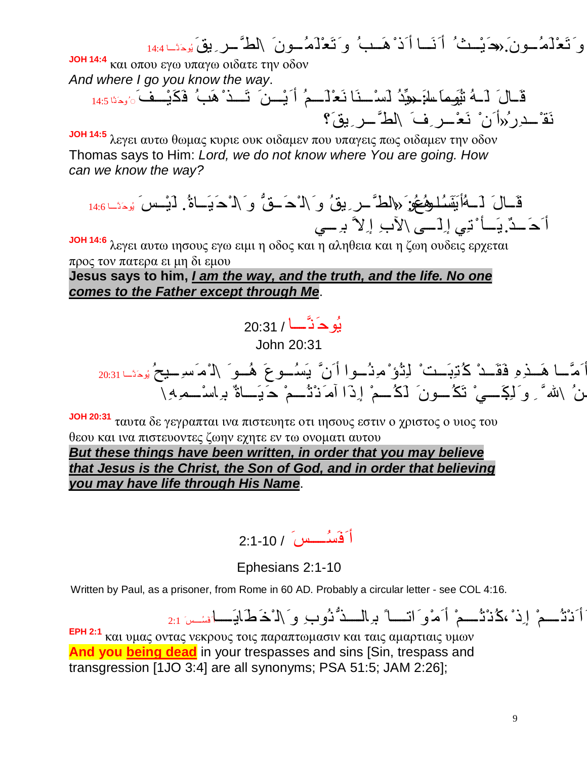و َتَعْ لَمُ ون.َ«ح َیْ ثُ أَنَ ا أَذْھَ بُ و َتَعْ لَمُ ونَ \لطَّ رِ یقَ یُوحَنَّ <sup>ا</sup> 14:4 **JOH 14:4** και οπου εγω υπαγω οιδατε την οδον *And where I go you know the way*. ِّدُ ل َسْ نَا نَعْ لَ مُ أَیْ نَ تَ ذْھَبُ فَكَیْ فَ◌ُ وحَنَّا 14:5 قَ الَ ل َ ھُ تی َ ُو مَا اسَ : « ی نَقْ د ِرُ«أَنْ نَعْ رِفَ \لطَّ رِ یقَ؟ **JOH 14:5** λεγει αυτω θωμας κυριε ουκ οιδαμεν που υπαγεις πως οιδαμεν την οδον Thomas says to Him: *Lord, we do not know where You are going. How can we know the way?* قَ الَ ل َ ھُأی ََنَ سُ ا وھُ عُو :َ « \لطَّ رِ یقُ و َ\ل ْحَ قُّ و َ\ل ْحَیَ اة.ُ ل َیْ سَ یُوحَنَّ <sup>ا</sup> 14:6 بِ ي أَحَ د.ٌی َ أ ْ تِي إِلَ ى \لآبِ إِلاَّ **JOH 14:6** λεγει αυτω ιησους εγω ειμι η οδος και η αληθεια και η ζωη ουδεις ερχεται

προς τον πατερα ει μη δι εμου **Jesus says to him,** *I am the way, and the truth, and the life. No one comes to the Father except through Me*.

> یُوحَنَّ ا / 20:31 John 20:31

و َ أَمَّ ا ھَ ذِهِ فَقَ د ْ ك ُتِبَ تْ ل ِتُؤْ مِنُ وا أَنَّ ی َسُ وعَ ھُ و َ \ل ْمَسِ یحُ یُوحَنَّ <sup>ا</sup> 20:31 نُ \لله ً وَ لَـِكَـــىْ تَكُ ونَ لَكُ حْ إِذَا آمَ نْنْ حَمْ حَـَيَــاةٌ بِهِاسْــمْهِ\

**JOH 20:31** ταυτα δε γεγραπται ινα πιστευητε οτι ιησους εστιν ο χριστος ο υιος του θεου και ινα πιστευοντες ζωην εχητε εν τω ονοματι αυτου

*But these things have been written, in order that you may believe that Jesus is the Christ, the Son of God, and in order that believing you may have life through His Name*.

أَفَسُ سَ / 2:1-10

Ephesians 2:1-10

Written by Paul, as a prisoner, from Rome in 60 AD. Probably a circular letter - see COL 4:16.

أَنْتُ مْ إِذْ،كُنْتُ مْ أَمْوَ اتّ بِالشّذُّنُوبِ وَ \لْذَطَابَهَا فَسُسَ 2:1

**ΕPH 2:1** και υμας οντας νεκρους τοις παραπτωμασιν και ταις αμαρτιαις υμων **And you being dead** in your trespasses and sins [Sin, trespass and transgression [1JO 3:4] are all synonyms; PSA 51:5; JAM 2:26];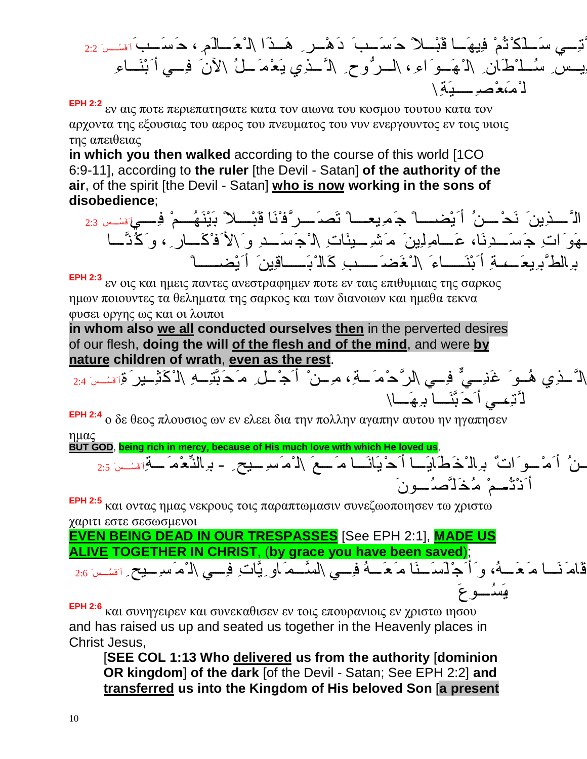ال َّتِ ي سَ ل َكْتُمْ فِیھَ ا قَبْ لاً ح َسَ بَ دَھْ رِ ھَ ذَا \ل ْعَ الَمِ ، ح َسَ بَأَفَسُ سَ 2:2 يسِ سُ لمُسْلُمُكِن \ل ْهَ وَ اءِ ، \ل ر ُّوحِ ِ \لاَّ نَّذِي يَعْمَ لُمْ \لأنَ ۖ فِسِي أَبْنَسَاءِ ل ْم،َعْصِ یَةِ\

**EPH 2:2** εν αις ποτε περιεπατησατε κατα τον αιωνα του κοσμου τουτου κατα τον αρχοντα της εξουσιας του αερος του πνευματος του νυν ενεργουντος εν τοις υιοις της απειθειας

**in which you then walked** according to the course of this world [1CO 6:9-11], according to **the ruler** [the Devil - Satan] **of the authority of the air**, of the spirit [the Devil - Satan] **who is now working in the sons of disobedience**;

الَّ ــذِينَ ۖ نَحْ ـــنُ ۖ أَ يُضـــــاً ۖ جَ مِيعــــاً تَصـَ ــر ٌّفْنَا قَبْـــلاً بَيْنَـهُـــمْ ۖ فِــــيَ سَن 2:3 يَهُوَ اتِ جَسَــدِنَا، عَـــامِلِينَ مَشْـِـــيئَاتِ \لـْجَسَــدِ وَ \لأَفْكَــارِ ، وَكُنَّــا بِرِالطَّ بِرِیعَــــِـهِ أَبْنَـــــاءَ \لـْ فَضَــــــبِ كَالـْ بَـــــاقِینَ ۖ أَ يُضــــــاً

**EPH 2:3** εν οις και ημεις παντες ανεστραφημεν ποτε εν ταις επιθυμιαις της σαρκος ημων ποιουντες τα θεληματα της σαρκος και των διανοιων και ημεθα τεκνα φυσει οργης ως και οι λοιποι

**in whom also we all conducted ourselves then** in the perverted desires of our flesh, **doing the will of the flesh and of the mind**, and were **by nature children of wrath**, **even as the rest**.

َّتِ ھِ \ل ْكَثِ یرَةِأَفَسُ سَ 2:4 ٌّ فِ ي \لرَّ حْمَ ة ،ِ م ِ نْ أَجْ لِ م َحَب الله َ ُ \ل َّ ذِي ھُ و َ غَنِ ي ل َّتِ ، ي أَحَبَّنَ ا بِھَ ا\

**EPH 2:4** ο δε θεος πλουσιος ων εν ελεει δια την πολλην αγαπην αυτου ην ηγαπησεν ημας

**BUT GOD**, **being rich in mercy, because of His much love with which He loved us**,

و َنَحْ نُ أَمْ و َ اتٌ بِالْخَطَایَ ا أَحْیَانَ ا م َ عَ \ل ْمَسِ یحِ - بِالنِّعْ مَ ة ِأَفَسُ سَ 2:5 أَنْتُمِ مُخَلَّصُسونَ

**EPH 2:5** και οντας ημας νεκρους τοις παραπτωμασιν συνεζωοποιησεν τω χριστω χαριτι εστε σεσωσμενοι

**EVEN BEING DEAD IN OUR TRESPASSES** [See EPH 2:1], **MADE US ALIVE TOGETHER IN CHRIST**, (**by grace you have been saved**);

قَامَ نَسا مَ مَسَمُ، و َ أَجْ لَسَ نَا مَ مَسَمُ فِسِي \لسَّـمَ او ِ يَّاتِ فِسي \لـْ مَ سرِ بِيح ِ تَسْـسَ 2:6 ،ی َسُ وعَ

**EPH 2:6** και συνηγειρεν και συνεκαθισεν εν τοις επουρανιοις εν χριστω ιησου and has raised us up and seated us together in the Heavenly places in Christ Jesus,

[**SEE COL 1:13 Who delivered us from the authority** [**dominion OR kingdom**] **of the dark** [of the Devil - Satan; See EPH 2:2] **and transferred us into the Kingdom of His beloved Son** [**a present**